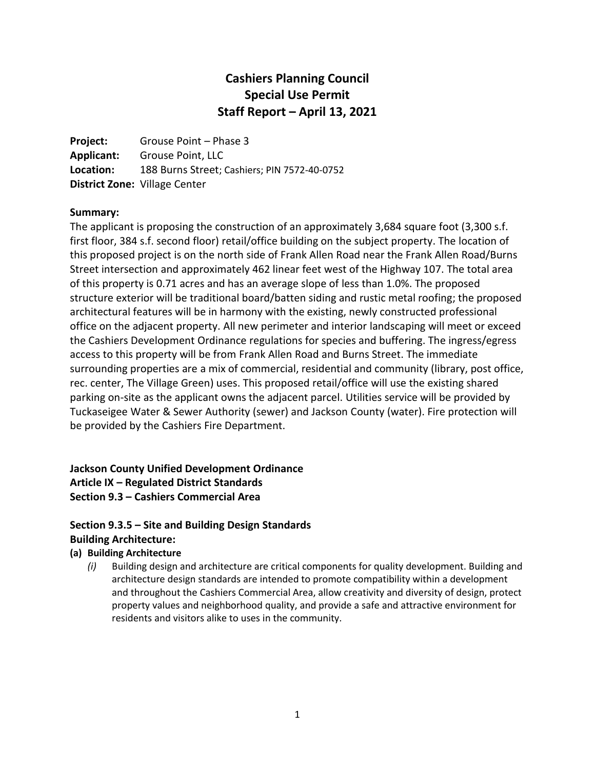# **Cashiers Planning Council Special Use Permit Staff Report – April 13, 2021**

**Project:** Grouse Point – Phase 3 **Applicant:** Grouse Point, LLC **Location:** 188 Burns Street; Cashiers; PIN 7572-40-0752 **District Zone:** Village Center

#### **Summary:**

The applicant is proposing the construction of an approximately 3,684 square foot (3,300 s.f. first floor, 384 s.f. second floor) retail/office building on the subject property. The location of this proposed project is on the north side of Frank Allen Road near the Frank Allen Road/Burns Street intersection and approximately 462 linear feet west of the Highway 107. The total area of this property is 0.71 acres and has an average slope of less than 1.0%. The proposed structure exterior will be traditional board/batten siding and rustic metal roofing; the proposed architectural features will be in harmony with the existing, newly constructed professional office on the adjacent property. All new perimeter and interior landscaping will meet or exceed the Cashiers Development Ordinance regulations for species and buffering. The ingress/egress access to this property will be from Frank Allen Road and Burns Street. The immediate surrounding properties are a mix of commercial, residential and community (library, post office, rec. center, The Village Green) uses. This proposed retail/office will use the existing shared parking on-site as the applicant owns the adjacent parcel. Utilities service will be provided by Tuckaseigee Water & Sewer Authority (sewer) and Jackson County (water). Fire protection will be provided by the Cashiers Fire Department.

# **Jackson County Unified Development Ordinance Article IX – Regulated District Standards Section 9.3 – Cashiers Commercial Area**

### **Section 9.3.5 – Site and Building Design Standards Building Architecture:**

### **(a) Building Architecture**

*(i)* Building design and architecture are critical components for quality development. Building and architecture design standards are intended to promote compatibility within a development and throughout the Cashiers Commercial Area, allow creativity and diversity of design, protect property values and neighborhood quality, and provide a safe and attractive environment for residents and visitors alike to uses in the community.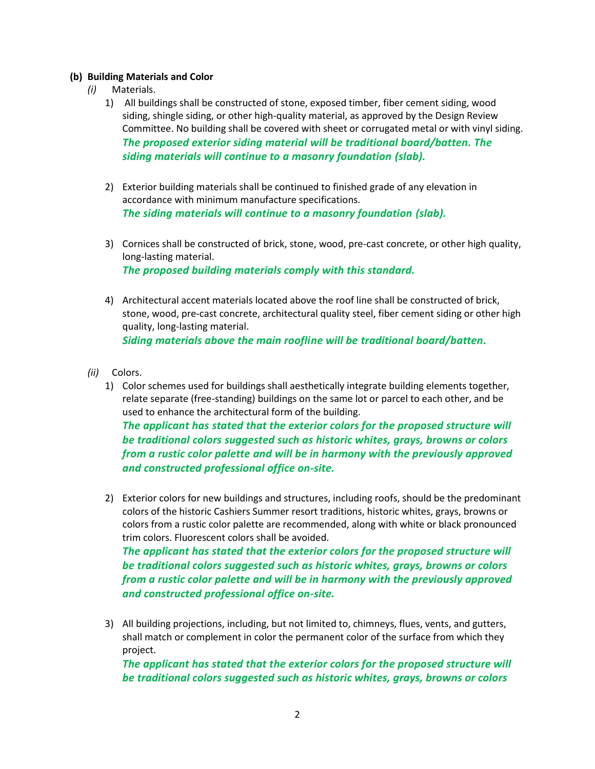#### **(b) Building Materials and Color**

- *(i)* Materials.
	- 1) All buildings shall be constructed of stone, exposed timber, fiber cement siding, wood siding, shingle siding, or other high-quality material, as approved by the Design Review Committee. No building shall be covered with sheet or corrugated metal or with vinyl siding. *The proposed exterior siding material will be traditional board/batten. The siding materials will continue to a masonry foundation (slab).*
	- 2) Exterior building materials shall be continued to finished grade of any elevation in accordance with minimum manufacture specifications. *The siding materials will continue to a masonry foundation (slab).*
	- 3) Cornices shall be constructed of brick, stone, wood, pre-cast concrete, or other high quality, long-lasting material. *The proposed building materials comply with this standard.*
	- 4) Architectural accent materials located above the roof line shall be constructed of brick, stone, wood, pre-cast concrete, architectural quality steel, fiber cement siding or other high quality, long-lasting material. *Siding materials above the main roofline will be traditional board/batten.*
- *(ii)* Colors.
	- 1) Color schemes used for buildings shall aesthetically integrate building elements together, relate separate (free-standing) buildings on the same lot or parcel to each other, and be used to enhance the architectural form of the building.

*The applicant has stated that the exterior colors for the proposed structure will be traditional colors suggested such as historic whites, grays, browns or colors from a rustic color palette and will be in harmony with the previously approved and constructed professional office on-site.* 

2) Exterior colors for new buildings and structures, including roofs, should be the predominant colors of the historic Cashiers Summer resort traditions, historic whites, grays, browns or colors from a rustic color palette are recommended, along with white or black pronounced trim colors. Fluorescent colors shall be avoided.

*The applicant has stated that the exterior colors for the proposed structure will be traditional colors suggested such as historic whites, grays, browns or colors from a rustic color palette and will be in harmony with the previously approved and constructed professional office on-site.* 

3) All building projections, including, but not limited to, chimneys, flues, vents, and gutters, shall match or complement in color the permanent color of the surface from which they project.

*The applicant has stated that the exterior colors for the proposed structure will be traditional colors suggested such as historic whites, grays, browns or colors*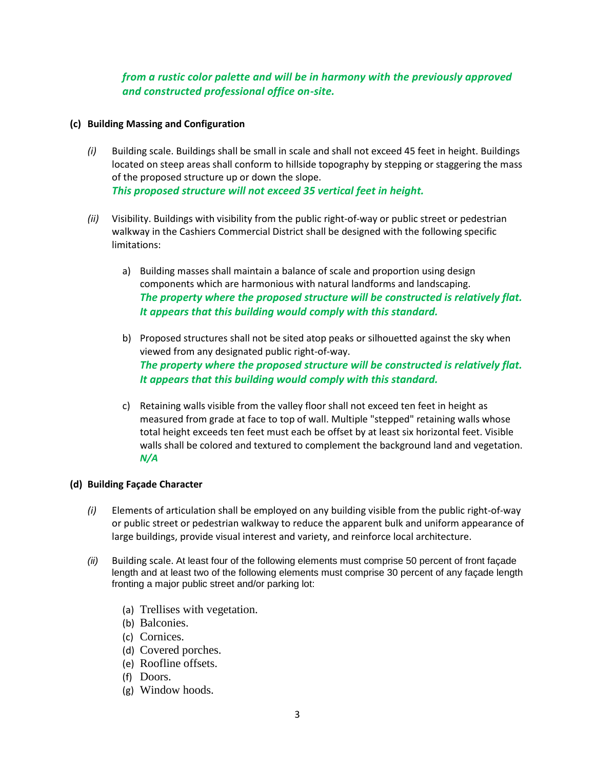### *from a rustic color palette and will be in harmony with the previously approved and constructed professional office on-site.*

#### **(c) Building Massing and Configuration**

- *(i)* Building scale. Buildings shall be small in scale and shall not exceed 45 feet in height. Buildings located on steep areas shall conform to hillside topography by stepping or staggering the mass of the proposed structure up or down the slope. *This proposed structure will not exceed 35 vertical feet in height.*
- *(ii)* Visibility. Buildings with visibility from the public right-of-way or public street or pedestrian walkway in the Cashiers Commercial District shall be designed with the following specific limitations:
	- a) Building masses shall maintain a balance of scale and proportion using design components which are harmonious with natural landforms and landscaping. *The property where the proposed structure will be constructed is relatively flat. It appears that this building would comply with this standard.*
	- b) Proposed structures shall not be sited atop peaks or silhouetted against the sky when viewed from any designated public right-of-way. *The property where the proposed structure will be constructed is relatively flat. It appears that this building would comply with this standard.*
	- c) Retaining walls visible from the valley floor shall not exceed ten feet in height as measured from grade at face to top of wall. Multiple "stepped" retaining walls whose total height exceeds ten feet must each be offset by at least six horizontal feet. Visible walls shall be colored and textured to complement the background land and vegetation. *N/A*

#### **(d) Building Façade Character**

- *(i)* Elements of articulation shall be employed on any building visible from the public right-of-way or public street or pedestrian walkway to reduce the apparent bulk and uniform appearance of large buildings, provide visual interest and variety, and reinforce local architecture.
- *(ii)* Building scale. At least four of the following elements must comprise 50 percent of front façade length and at least two of the following elements must comprise 30 percent of any façade length fronting a major public street and/or parking lot:
	- (a) Trellises with vegetation.
	- (b) Balconies.
	- (c) Cornices.
	- (d) Covered porches.
	- (e) Roofline offsets.
	- (f) Doors.
	- (g) Window hoods.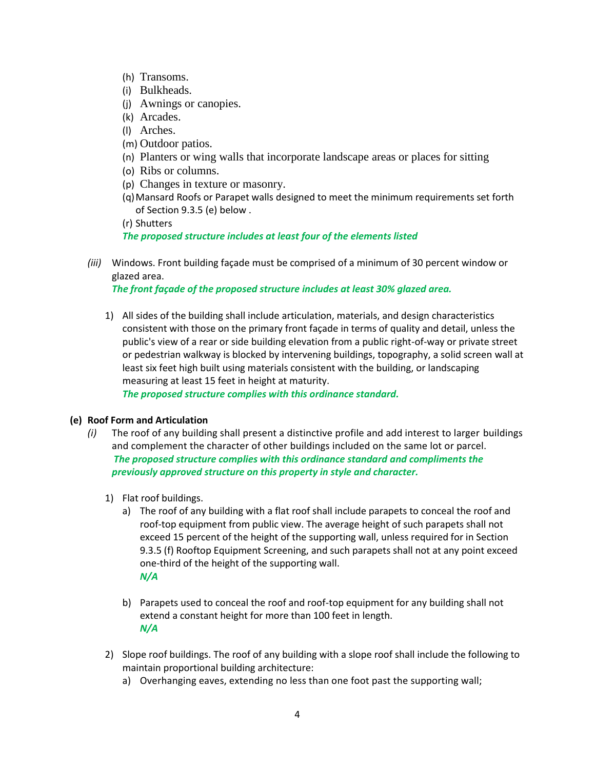- (h) Transoms.
- (i) Bulkheads.
- (j) Awnings or canopies.
- (k) Arcades.
- (l) Arches.
- (m) Outdoor patios.
- (n) Planters or wing walls that incorporate landscape areas or places for sitting
- (o) Ribs or columns.
- (p) Changes in texture or masonry.
- (q)Mansard Roofs or Parapet walls designed to meet the minimum requirements set forth of Section 9.3.5 (e) below .

(r) Shutters

### *The proposed structure includes at least four of the elements listed*

*(iii)* Windows. Front building façade must be comprised of a minimum of 30 percent window or glazed area.

*The front façade of the proposed structure includes at least 30% glazed area.*

1) All sides of the building shall include articulation, materials, and design characteristics consistent with those on the primary front façade in terms of quality and detail, unless the public's view of a rear or side building elevation from a public right-of-way or private street or pedestrian walkway is blocked by intervening buildings, topography, a solid screen wall at least six feet high built using materials consistent with the building, or landscaping measuring at least 15 feet in height at maturity.

*The proposed structure complies with this ordinance standard.* 

### **(e) Roof Form and Articulation**

- *(i)* The roof of any building shall present a distinctive profile and add interest to larger buildings and complement the character of other buildings included on the same lot or parcel. *The proposed structure complies with this ordinance standard and compliments the previously approved structure on this property in style and character.* 
	- 1) Flat roof buildings.
		- a) The roof of any building with a flat roof shall include parapets to conceal the roof and roof-top equipment from public view. The average height of such parapets shall not exceed 15 percent of the height of the supporting wall, unless required for in Section 9.3.5 (f) Rooftop Equipment Screening, and such parapets shall not at any point exceed one-third of the height of the supporting wall. *N/A*
		- b) Parapets used to conceal the roof and roof-top equipment for any building shall not extend a constant height for more than 100 feet in length. *N/A*
	- 2) Slope roof buildings. The roof of any building with a slope roof shall include the following to maintain proportional building architecture:
		- a) Overhanging eaves, extending no less than one foot past the supporting wall;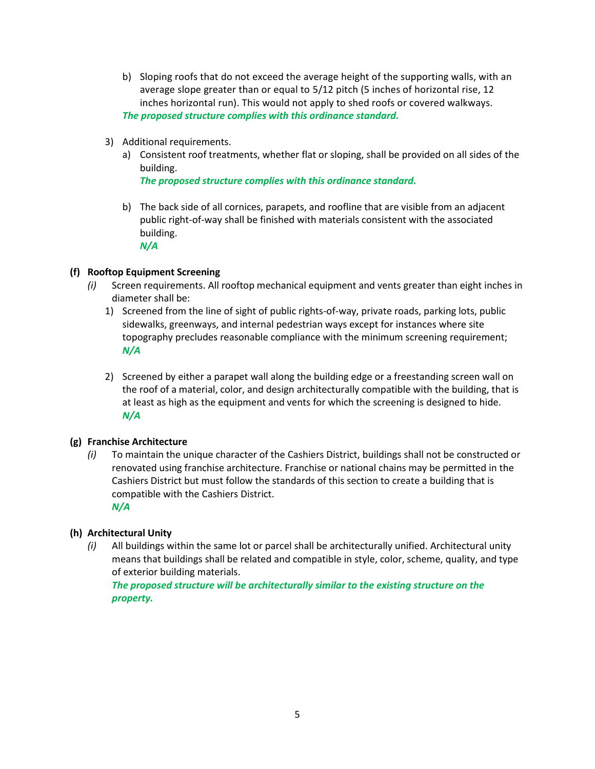- b) Sloping roofs that do not exceed the average height of the supporting walls, with an average slope greater than or equal to 5/12 pitch (5 inches of horizontal rise, 12 inches horizontal run). This would not apply to shed roofs or covered walkways. *The proposed structure complies with this ordinance standard.*
- 3) Additional requirements.
	- a) Consistent roof treatments, whether flat or sloping, shall be provided on all sides of the building.

*The proposed structure complies with this ordinance standard.*

b) The back side of all cornices, parapets, and roofline that are visible from an adjacent public right-of-way shall be finished with materials consistent with the associated building. *N/A*

#### **(f) Rooftop Equipment Screening**

- *(i)* Screen requirements. All rooftop mechanical equipment and vents greater than eight inches in diameter shall be:
	- 1) Screened from the line of sight of public rights-of-way, private roads, parking lots, public sidewalks, greenways, and internal pedestrian ways except for instances where site topography precludes reasonable compliance with the minimum screening requirement; *N/A*
	- 2) Screened by either a parapet wall along the building edge or a freestanding screen wall on the roof of a material, color, and design architecturally compatible with the building, that is at least as high as the equipment and vents for which the screening is designed to hide. *N/A*

#### **(g) Franchise Architecture**

*(i)* To maintain the unique character of the Cashiers District, buildings shall not be constructed or renovated using franchise architecture. Franchise or national chains may be permitted in the Cashiers District but must follow the standards of this section to create a building that is compatible with the Cashiers District. *N/A*

#### **(h) Architectural Unity**

*(i)* All buildings within the same lot or parcel shall be architecturally unified. Architectural unity means that buildings shall be related and compatible in style, color, scheme, quality, and type of exterior building materials.

*The proposed structure will be architecturally similar to the existing structure on the property.*